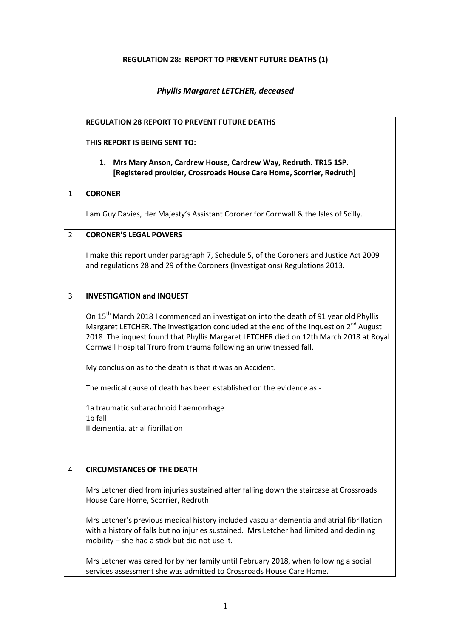## **REGULATION 28: REPORT TO PREVENT FUTURE DEATHS (1)**

## *Phyllis Margaret LETCHER, deceased*

|                | <b>REGULATION 28 REPORT TO PREVENT FUTURE DEATHS</b>                                                                                                                                                                                                                                                                                                                   |
|----------------|------------------------------------------------------------------------------------------------------------------------------------------------------------------------------------------------------------------------------------------------------------------------------------------------------------------------------------------------------------------------|
|                | THIS REPORT IS BEING SENT TO:                                                                                                                                                                                                                                                                                                                                          |
|                | 1. Mrs Mary Anson, Cardrew House, Cardrew Way, Redruth. TR15 1SP.<br>[Registered provider, Crossroads House Care Home, Scorrier, Redruth]                                                                                                                                                                                                                              |
| $\mathbf{1}$   | <b>CORONER</b>                                                                                                                                                                                                                                                                                                                                                         |
|                | I am Guy Davies, Her Majesty's Assistant Coroner for Cornwall & the Isles of Scilly.                                                                                                                                                                                                                                                                                   |
| $\overline{2}$ | <b>CORONER'S LEGAL POWERS</b>                                                                                                                                                                                                                                                                                                                                          |
|                | I make this report under paragraph 7, Schedule 5, of the Coroners and Justice Act 2009<br>and regulations 28 and 29 of the Coroners (Investigations) Regulations 2013.                                                                                                                                                                                                 |
| $\overline{3}$ | <b>INVESTIGATION and INQUEST</b>                                                                                                                                                                                                                                                                                                                                       |
|                | On 15 <sup>th</sup> March 2018 I commenced an investigation into the death of 91 year old Phyllis<br>Margaret LETCHER. The investigation concluded at the end of the inquest on 2 <sup>nd</sup> August<br>2018. The inquest found that Phyllis Margaret LETCHER died on 12th March 2018 at Royal<br>Cornwall Hospital Truro from trauma following an unwitnessed fall. |
|                | My conclusion as to the death is that it was an Accident.                                                                                                                                                                                                                                                                                                              |
|                | The medical cause of death has been established on the evidence as -                                                                                                                                                                                                                                                                                                   |
|                | 1a traumatic subarachnoid haemorrhage                                                                                                                                                                                                                                                                                                                                  |
|                | 1b fall<br>II dementia, atrial fibrillation                                                                                                                                                                                                                                                                                                                            |
|                |                                                                                                                                                                                                                                                                                                                                                                        |
| 4              | <b>CIRCUMSTANCES OF THE DEATH</b>                                                                                                                                                                                                                                                                                                                                      |
|                | Mrs Letcher died from injuries sustained after falling down the staircase at Crossroads<br>House Care Home, Scorrier, Redruth.                                                                                                                                                                                                                                         |
|                | Mrs Letcher's previous medical history included vascular dementia and atrial fibrillation<br>with a history of falls but no injuries sustained. Mrs Letcher had limited and declining<br>mobility - she had a stick but did not use it.                                                                                                                                |
|                | Mrs Letcher was cared for by her family until February 2018, when following a social<br>services assessment she was admitted to Crossroads House Care Home.                                                                                                                                                                                                            |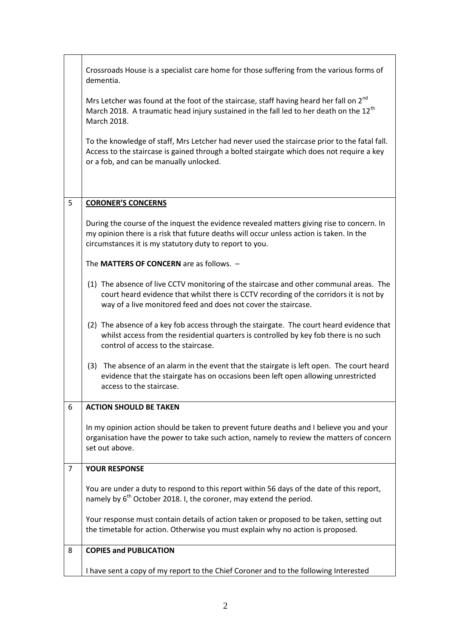|                | Crossroads House is a specialist care home for those suffering from the various forms of<br>dementia.                                                                                                                                              |
|----------------|----------------------------------------------------------------------------------------------------------------------------------------------------------------------------------------------------------------------------------------------------|
|                | Mrs Letcher was found at the foot of the staircase, staff having heard her fall on 2 <sup>nd</sup><br>March 2018. A traumatic head injury sustained in the fall led to her death on the 12 <sup>th</sup><br>March 2018.                            |
|                | To the knowledge of staff, Mrs Letcher had never used the staircase prior to the fatal fall.<br>Access to the staircase is gained through a bolted stairgate which does not require a key<br>or a fob, and can be manually unlocked.               |
|                |                                                                                                                                                                                                                                                    |
| 5              | <b>CORONER'S CONCERNS</b>                                                                                                                                                                                                                          |
|                | During the course of the inquest the evidence revealed matters giving rise to concern. In<br>my opinion there is a risk that future deaths will occur unless action is taken. In the<br>circumstances it is my statutory duty to report to you.    |
|                | The MATTERS OF CONCERN are as follows. -                                                                                                                                                                                                           |
|                | (1) The absence of live CCTV monitoring of the staircase and other communal areas. The<br>court heard evidence that whilst there is CCTV recording of the corridors it is not by<br>way of a live monitored feed and does not cover the staircase. |
|                | (2) The absence of a key fob access through the stairgate. The court heard evidence that<br>whilst access from the residential quarters is controlled by key fob there is no such<br>control of access to the staircase.                           |
|                | (3) The absence of an alarm in the event that the stairgate is left open. The court heard<br>evidence that the stairgate has on occasions been left open allowing unrestricted<br>access to the staircase.                                         |
| 6              | <b>ACTION SHOULD BE TAKEN</b>                                                                                                                                                                                                                      |
|                | In my opinion action should be taken to prevent future deaths and I believe you and your<br>organisation have the power to take such action, namely to review the matters of concern<br>set out above.                                             |
| $\overline{7}$ | <b>YOUR RESPONSE</b>                                                                                                                                                                                                                               |
|                | You are under a duty to respond to this report within 56 days of the date of this report,<br>namely by $6th$ October 2018. I, the coroner, may extend the period.                                                                                  |
|                | Your response must contain details of action taken or proposed to be taken, setting out<br>the timetable for action. Otherwise you must explain why no action is proposed.                                                                         |
| 8              | <b>COPIES and PUBLICATION</b>                                                                                                                                                                                                                      |
|                | I have sent a copy of my report to the Chief Coroner and to the following Interested                                                                                                                                                               |